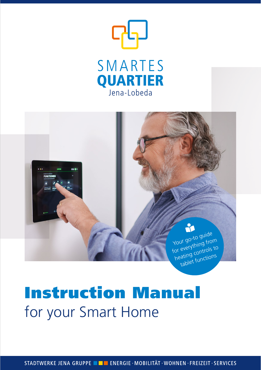



# Instruction Manual for your Smart Home

STADTWERKE JENA GRUPPE **De ENERGIE · MOBILITÄT · WOHNEN · FREIZEIT · SERVICES**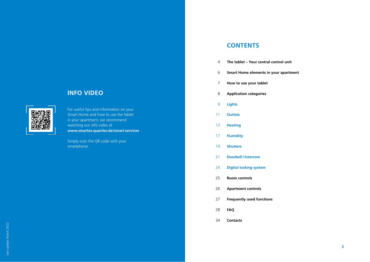## **INFO VIDEO**

For useful tips and information on your Smart Home and how to use the tablet in your apartment, we recommend watching our info video at **www.smartes-quartier.de/smart-services**

Simply scan the QR code with your smartphone.

## **CONTENTS**

- **The tablet Your central control unit**
- **Smart Home elements in your apartment**
- **How to use your tablet**
- **Application categories**
- **Lights**
- **Outlets**
- **Heating**
- **Humidity**
- **Shutters**
- **Doorbell /Intercom**
- **Digital locking system**
- **Room controls**
- **Apartment controls**
- **Frequently used functions**
- **FAQ**
- **Contacts**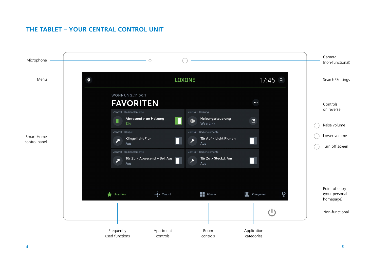## **THE TABLET – YOUR CENTRAL CONTROL UNIT**

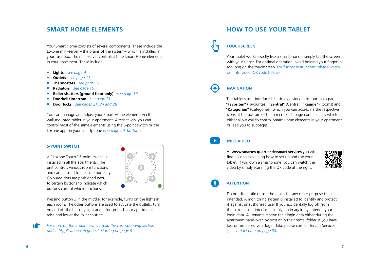## **SMART HOME ELEMENTS**

Your Smart Home consists of several components. These include the Loxone mini-server – the brains of the system – which is installed in your fuse box. The mini-server controls all the Smart Home elements in your apartment. These include:

- **Lights** *see page 9*
- **Outlets** *see page 11*
- **Thermostats** *see page 13*
- **Radiators** *see page 16*
- **Roller shutters (ground floor only)** *see page 19*
- **Doorbell/Intercom** *see page 21*
- **Door locks** *see pages 21, 24 and 28*

You can manage and adjust your Smart Home elements via the wall-mounted tablet in your apartment. Alternatively, you can control most of the same elements using the 5-point switch or the Loxone app on your smartphone *(see page 29, bottom)*.

### **5-POINT SWITCH**

A "Loxone Touch" 5-point switch is installed in all the apartments. The unit controls various room functions and can be used to measure humidity. Coloured dots are positioned next to certain buttons to indicate which buttons control which functions.



Pressing button 3 in the middle, for example, turns on the lights in each room. The other buttons are used to activate the outlets, turn on and off the balcony light and – for ground-floor apartments – raise and lower the roller shutters.

*For more on the 5-point switch, read the corresponding section under "Application categories", starting on page 9.*

## **HOW TO USE YOUR TABLET**



## **TOUCHSCREEN**

Your tablet works exactly like a smartphone – simply tap the screen with your finger. For optimal operation, avoid holding your fingertip too long on the touchscreen. For further instructions, please watch our info video (QR code below).

## **NAVIGATION**

The tablet's user interface is basically divided into four main parts: **"Favoriten"** (Favourites), **"Zentral"** (Central), **"Räume"** (Rooms) and **"Kategorien"** (Categories), which you can access via the respective icons at the bottom of the screen. Each page contains tiles which either allow you to control Smart Home elements in your apartment or lead you to subpages.

## **INFO VIDEO**

At **www.smartes-quartier.de/smart-services** you will find a video explaining how to set up and use your tablet. If you own a smartphone, you can watch the video by simply scanning the QR code at the right.



## **ATTENTION**

Do not dismantle or use the tablet for any other purpose than intended. A monitoring system is installed to identify and protect it against unauthorised use. If you accidentally log off from the Loxone user interface, simply log in again by entering your login data. All tenants receive their login data either during the apartment hand-over, by post or in their rental folder. If you have lost or misplaced your login data, please contact Tenant Services *(see contact data on page 34).*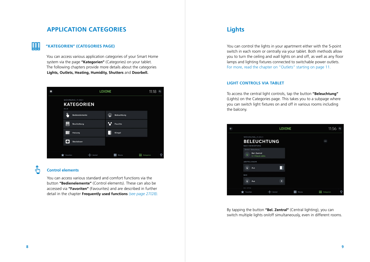## **APPLICATION CATEGORIES Lights**

## **"KATEGORIEN" (CATEGORIES PAGE)**

You can access various application categories of your Smart Home system via the page **"Kategorien"** (Categories) on your tablet. The following chapters provide more details about the categories **Lights, Outlets, Heating, Humidity, Shutters** and **Doorbell.**



## $\sqrt[3]{2}$

<u>UUL</u>

## **Control elements**

You can access various standard and comfort functions via the button **"Bedienelemente"** (Control elements). These can also be accessed via **"Favoriten"** (Favourites) and are described in further detail in the chapter **Frequently used functions** *(see page 27/28).*

You can control the lights in your apartment either with the 5-point switch in each room or centrally via your tablet. Both methods allow you to turn the ceiling and wall lights on and off, as well as any floor lamps and lighting fixtures connected to switchable power outlets. For more, read the chapter on "Outlets" starting on page 11.

## **LIGHT CONTROLS VIA TABLET**

To access the central light controls, tap the button **"Beleuchtung"** (Lights) on the Categories page. This takes you to a subpage where you can switch light fixtures on and off in various rooms including the balcony.



By tapping the button **"Bel. Zentral"** (Central lighting), you can switch multiple lights on/off simultaneously, even in different rooms.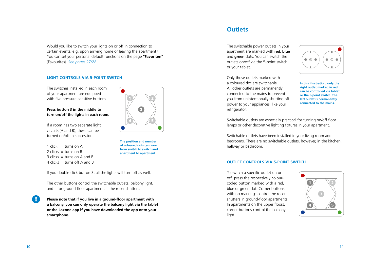Would you like to switch your lights on or off in connection to certain events, e.g. upon arriving home or leaving the apartment? You can set your personal default functions on the page **"Favoriten"** (Favourites). *See pages 27/28.*

## **LIGHT CONTROLS VIA 5-POINT SWITCH**

The switches installed in each room of your apartment are equipped with five pressure-sensitive buttons.

## **Press button 3 in the middle to turn on/off the lights in each room.**

If a room has two separate light circuits (A and B), these can be turned on/off in succession:

1 click  $=$  turns on A  $2$  clicks = turns on B  $3$  clicks  $=$  turns on A and B 4 clicks  $=$  turns off A and B



**The position and number of coloured dots can vary from switch to switch and apartment to apartment.**

If you double-click button 3, all the lights will turn off as well.

The other buttons control the switchable outlets, balcony light, and – for ground-floor apartments – the roller shutters.

**Please note that if you live in a ground-floor apartment with a balcony, you can only operate the balcony light via the tablet or the Loxone app if you have downloaded the app onto your smartphone.**

## **Outlets**

The switchable power outlets in your apartment are marked with **red, blue** and **green** dots. You can switch the outlets on/off via the 5-point switch or your tablet.



Only those outlets marked with a coloured dot are switchable. All other outlets are permanently connected to the mains to prevent you from unintentionally shutting off power to your appliances, like your refrigerator.

**In this illustration, only the right outlet marked in red can be controlled via tablet or the 5-point switch. The left outlet is permanently connected to the mains.**

Switchable outlets are especially practical for turning on/off floor lamps or other decorative lighting fixtures in your apartment.

Switchable outlets have been installed in your living room and bedrooms. There are no switchable outlets, however, in the kitchen, hallway or bathroom.

### **OUTLET CONTROLS VIA 5-POINT SWITCH**

To switch a specific outlet on or off, press the respectively colourcoded button marked with a red, blue or green dot. Corner buttons with no markings control the roller shutters in ground-floor apartments. In apartments on the upper floors, corner buttons control the balcony light.

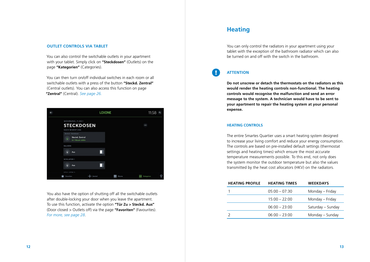#### **OUTLET CONTROLS VIA TABLET**

You can also control the switchable outlets in your apartment with your tablet. Simply click on **"Steckdosen"** (Outlets) on the page **"Kategorien"** (Categories).

You can then turn on/off individual switches in each room or all switchable outlets with a press of the button **"Steckd. Zentral"**  (Central outlets). You can also access this function on page **"Zentral"** (Central). *See page 26.*



You also have the option of shutting off all the switchable outlets after double-locking your door when you leave the apartment. To use this function, activate the option **"Tür Zu > Steckd. Aus"** (Door closed > Outlets off) via the page **"Favoriten"** (Favourites). *For more, see page 28*.

## **Heating**

You can only control the radiators in your apartment using your tablet with the exception of the bathroom radiator which can also be turned on and off with the switch in the bathroom.

## **ATTENTION**

H.

**Do not unscrew or detach the thermostats on the radiators as this would render the heating controls non-functional. The heating controls would recognise the malfunction and send an error message to the system. A technician would have to be sent to your apartment to repair the heating system at your personal expense.**

#### **HEATING CONTROLS**

The entire Smartes Quartier uses a smart heating system designed to increase your living comfort and reduce your energy consumption. The controls are based on pre-installed default settings (thermostat settings and heating times) which ensure the most accurate temperature measurements possible. To this end, not only does the system monitor the outdoor temperature but also the values transmitted by the heat cost allocators (HKV) on the radiators.

| <b>HEATING PROFILE</b> | <b>HEATING TIMES</b> | <b>WEEKDAYS</b>   |
|------------------------|----------------------|-------------------|
|                        | $05:00 - 07:30$      | Monday – Friday   |
|                        | $15:00 - 22:00$      | Monday – Friday   |
|                        | $06:00 - 23:00$      | Saturday – Sunday |
|                        | $06:00 - 23:00$      | Monday – Sunday   |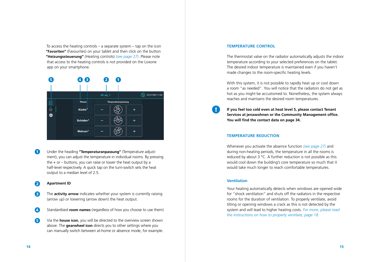To access the heating controls – a separate system – tap on the icon **"Favoriten"** (Favourites) on your tablet and then click on the button **"Heizungssteuerung"** (Heating controls) *(see page 27)*. Please note that access to the heating controls is not provided on the Loxone app on your smartphone.



 $\bullet$ Under the heading **"Temperaturanpassung"** (Temperature adjustment), you can adjust the temperature in individual rooms. By pressing the  $+$  or  $-$  buttons, you can raise or lower the heat output by a half-level respectively. A quick tap on the turn-switch sets the heat output to a median level of 2.5.

#### **Apartment ID** Ω

- 8 The **activity arrow** indicates whether your system is currently raising (arrow up) or lowering (arrow down) the heat output.
- $\overline{A}$ Standardised **room names** (regardless of how you choose to use them)
- G Via the **house icon**, you will be directed to the overview screen shown above. The **gearwheel icon** directs you to other settings where you can manually switch between at-home or absence mode, for example.

### **TEMPERATURE CONTROL**

The thermostat valve on the radiator automatically adjusts the indoor temperature according to your selected preferences on the tablet. The desired indoor temperature is maintained even if you haven't made changes to the room-specific heating levels.

With this system, it is not possible to rapidly heat up or cool down a room "as needed". You will notice that the radiators do not get as hot as you might be accustomed to. Nonetheless, the system always reaches and maintains the desired room temperatures.

**If you feel too cold even at heat level 5, please contact Tenant Services at jenawohnen or the Community Management office. You will find the contact data on page 34.**

### **TEMPERATURE REDUCTION**

Whenever you activate the absence function *(see page 27)* and during non-heating periods, the temperature in all the rooms is reduced by about 3 °C. A further reduction is not possible as this would cool down the building's core temperature so much that it would take much longer to reach comfortable temperatures.

## **Ventilation**

Your heating automatically detects when windows are opened wide for "shock ventilation" and shuts off the radiators in the respective rooms for the duration of ventilation. To properly ventilate, avoid tilting or opening windows a crack as this is not detected by the system and will lead to higher heating costs. *For more, please read the instructions on how to properly ventilate, page 18.*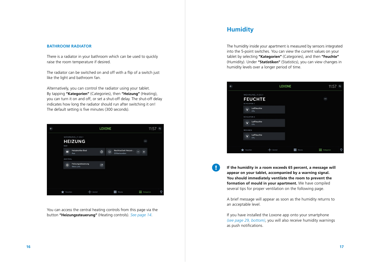### **BATHROOM RADIATOR**

There is a radiator in your bathroom which can be used to quickly raise the room temperature if desired.

The radiator can be switched on and off with a flip of a switch just like the light and bathroom fan.

Alternatively, you can control the radiator using your tablet. By tapping **"Kategorien"** (Categories), then **"Heizung"** (Heating), you can turn it on and off, or set a shut-off delay. The shut-off delay indicates how long the radiator should run after switching it on! The default setting is five minutes (300 seconds).



You can access the central heating controls from this page via the button **"Heizungssteuerung"** (Heating controls). *See page 14*.

## **Humidity**

 $\blacksquare$ 

The humidity inside your apartment is measured by sensors integrated into the 5-point switches. You can view the current values on your tablet by selecting **"Kategorien"** (Categories), and then **"Feuchte"** (Humidity). Under **"Statistiken"** (Statistics), you can view changes in humidity levels over a longer period of time.



**If the humidity in a room exceeds 65 percent, a message will appear on your tablet, accompanied by a warning signal. You should immediately ventilate the room to prevent the formation of mould in your apartment.** We have compiled several tips for proper ventilation on the following page.

A brief message will appear as soon as the humidity returns to an acceptable level.

If you have installed the Loxone app onto your smartphone *(see page 29, bottom)*, you will also receive humidity warnings as push notifications.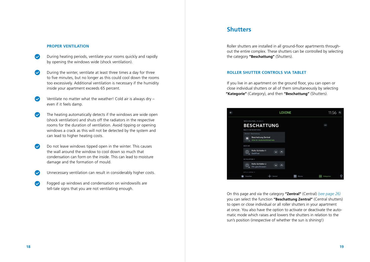#### **PROPER VENTILATION**

- $\bullet$ During heating periods, ventilate your rooms quickly and rapidly by opening the windows wide (shock ventilation).
- $\bullet$ During the winter, ventilate at least three times a day for three to five minutes, but no longer as this could cool down the rooms too excessively. Additional ventilation is necessary if the humidity inside your apartment exceeds 65 percent.
- Ventilate no matter what the weather! Cold air is always dry  $\bullet$ even if it feels damp.
- $\bullet$ The heating automatically detects if the windows are wide open (shock ventilation) and shuts off the radiators in the respective rooms for the duration of ventilation. Avoid tipping or opening windows a crack as this will not be detected by the system and can lead to higher heating costs.
- $\bullet$ Do not leave windows tipped open in the winter. This causes the wall around the window to cool down so much that condensation can form on the inside. This can lead to moisture damage and the formation of mould.
- Unnecessary ventilation can result in considerably higher costs.  $\bullet$
- $\bullet$ Fogged up windows and condensation on windowsills are tell-tale signs that you are not ventilating enough.

## **Shutters**

Roller shutters are installed in all ground-floor apartments throughout the entire complex. These shutters can be controlled by selecting the category **"Beschattung"** (Shutters).

#### **ROLLER SHUTTER CONTROLS VIA TABLET**

If you live in an apartment on the ground floor, you can open or close individual shutters or all of them simultaneously by selecting **"Kategorie"** (Category), and then **"Beschattung"** (Shutters).



On this page and via the category **"Zentral"** (Central) *(see page 26)* you can select the function **"Beschattung Zentral"** (Central shutters) to open or close individual or all roller shutters in your apartment at once. You also have the option to activate or deactivate the automatic mode which raises and lowers the shutters in relation to the sun's position (irrespective of whether the sun is shining!)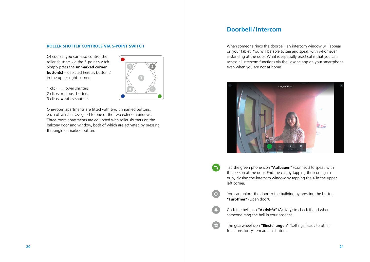### **ROLLER SHUTTER CONTROLS VIA 5-POINT SWITCH**

Of course, you can also control the roller shutters via the 5-point switch. Simply press the **unmarked corner button(s)** – depicted here as button 2 in the upper-right corner.

1 click = lower shutters  $2$  clicks = stops shutters  $3$  clicks = raises shutters

One-room apartments are fitted with two unmarked buttons, each of which is assigned to one of the two exterior windows. Three-room apartments are equipped with roller shutters on the balcony door and window, both of which are activated by pressing the single unmarked button.



## **Doorbell/Intercom**

When someone rings the doorbell, an intercom window will appear on your tablet. You will be able to see and speak with whomever is standing at the door. What is especially practical is that you can access all intercom functions via the Loxone app on your smartphone even when you are not at home.



Tap the green phone icon **"Aufbauen"** (Connect) to speak with the person at the door. End the call by tapping the icon again or by closing the intercom window by tapping the X in the upper left corner.

 $\overline{a}$ 

- You can unlock the door to the building by pressing the button **"Türöffner"** (Open door).
- Click the bell icon **"Aktivität"** (Activity) to check if and when someone rang the bell in your absence.

The gearwheel icon **"Einstellungen"** (Settings) leads to other functions for system administrators.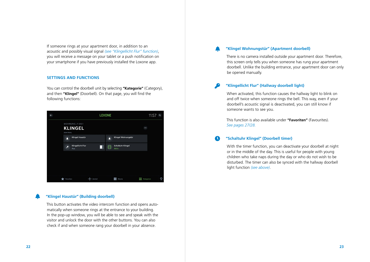If someone rings at your apartment door, in addition to an acoustic and possibly visual signal *(see "Klingellicht Flur" function)*, you will receive a message on your tablet or a push notification on your smartphone if you have previously installed the Loxone app.

## **SETTINGS AND FUNCTIONS**

You can control the doorbell unit by selecting **"Kategorie"** (Category), and then **"Klingel"** (Doorbell). On that page, you will find the following functions:



## **"Klingel Haustür" (Building doorbell)**

This button activates the video intercom function and opens automatically when someone rings at the entrance to your building. In the pop-up window, you will be able to see and speak with the visitor and unlock the door with the other buttons. You can also check if and when someone rang your doorbell in your absence.

## **"Klingel Wohnungstür" (Apartment doorbell)**

There is no camera installed outside your apartment door. Therefore, this screen only tells you when someone has rung your apartment doorbell. Unlike the building entrance, your apartment door can only be opened manually.

## **"Klingellicht Flur" (Hallway doorbell light)**

When activated, this function causes the hallway light to blink on and off twice when someone rings the bell. This way, even if your doorbell's acoustic signal is deactivated, you can still know if someone wants to see you.

This function is also available under **"Favoriten"** (Favourites). *See pages 27/28.*

#### $\bullet$ **"Schaltuhr Klingel" (Doorbell timer)**

With the timer function, you can deactivate your doorbell at night or in the middle of the day. This is useful for people with young children who take naps during the day or who do not wish to be disturbed. The timer can also be synced with the hallway doorbell light function *(see above)*.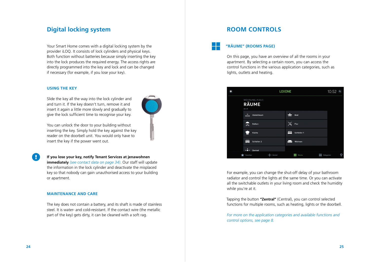## **Digital locking system**

Your Smart Home comes with a digital locking system by the provider iLOQ. It consists of lock cylinders and physical keys. Both function without batteries because simply inserting the key into the lock produces the required energy. The access rights are directly programmed into the key and lock and can be changed if necessary (for example, if you lose your key).

#### **USING THE KEY**

Slide the key all the way into the lock cylinder and and turn it. If the key doesn't turn, remove it and insert it again a little more slowly and gradually to give the lock sufficient time to recognise your key.



You can unlock the door to your building without inserting the key. Simply hold the key against the key reader on the doorbell unit. You would only have to insert the key if the power went out.

**If you lose your key, notify Tenant Services at jenawohnen immediately** *(see contact data on page 34)*. Our staff will update the information in the lock cylinder and deactivate the misplaced key so that nobody can gain unauthorised access to your building or apartment.

#### **MAINTENANCE AND CARE**

The key does not contain a battery, and its shaft is made of stainless steel. It is water- and cold-resistant. If the contact wire (the metallic part of the key) gets dirty, it can be cleaned with a soft rag.

## **ROOM CONTROLS**

## **"RÄUME" (ROOMS PAGE)**

On this page, you have an overview of all the rooms in your apartment. By selecting a certain room, you can access the control functions in the various application categories, such as lights, outlets and heating.



For example, you can change the shut-off delay of your bathroom radiator and control the lights at the same time. Or you can activate all the switchable outlets in your living room and check the humidity while you're at it.

Tapping the button **"Zentral"** (Central), you can control selected functions for multiple rooms, such as heating, lights or the doorbell.

*For more on the application categories and available functions and control options, see page 8.*

 $\blacksquare$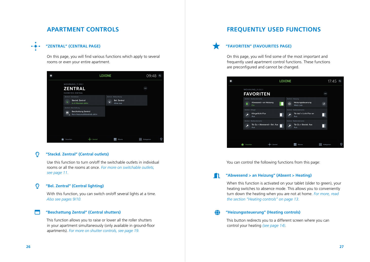## **APARTMENT CONTROLS**

## **"ZENTRAL" (CENTRAL PAGE)**

 $\bullet\cdot\bullet\cdot\bullet$ 

On this page, you will find various functions which apply to several rooms or even your entire apartment.



#### $\overline{O}$ **"Steckd. Zentral" (Central outlets)**

Use this function to turn on/off the switchable outlets in individual rooms or all the rooms at once. *For more on switchable outlets, see page 11.*

#### $\Omega$ **"Bel. Zentral" (Central lighting)**

With this function, you can switch on/off several lights at a time. *Also see pages 9/10.*

## **"Beschattung Zentral" (Central shutters)**

This function allows you to raise or lower all the roller shutters in your apartment simultaneously (only available in ground-floor apartments). *For more on shutter controls, see page 19.*

## **FREQUENTLY USED FUNCTIONS**

## **"FAVORITEN" (FAVOURITES PAGE)**

On this page, you will find some of the most important and frequently used apartment control functions. These functions are preconfigured and cannot be changed.



You can control the following functions from this page:

#### **"Abwesend > an Heizung" (Absent > Heating) M**

When this function is activated on your tablet (slider to green), your heating switches to absence mode. This allows you to conveniently turn down the heating when you are not at home. *For more, read the section "Heating controls" on page 13.*

#### ⊕ **"Heizungssteuerung" (Heating controls)**

This button redirects you to a different screen where you can control your heating *(see page 14)*.

 $\overline{\phantom{a}}$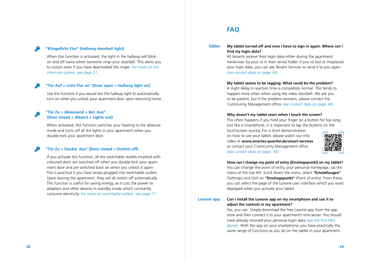## **"Klingellicht Flur" (Hallway doorbell light)**

When this function is activated, the light in the hallway will blink on and off twice when someone rings your doorbell. This alerts you to visitors even if you have deactivated the ringer. *For more on the intercom system, see page 21.*

### **"Tür Auf > Licht Flur an" (Door open > Hallway light on)**

Use this function if you would like the hallway light to automatically turn on when you unlock your apartment door upon returning home.

## **"Tür Zu > Abwesend + Bel. Aus" (Door closed > Absent + Lights out)**

When activated, this function switches your heating to the absence mode and turns off all the lights in your apartment when you double-lock your apartment door.

## **"Tür Zu > Steckd. Aus" (Door closed > Outlets off)**

If you activate this function, all the switchable outlets (marked with coloured dots) are switched off when you double-lock your apartment door and are switched back on when you unlock it again. This is practical if you have lamps plugged into switchable outlets. Upon leaving the apartment, they will all switch off automatically. This function is useful for saving energy, as it cuts the power to adapters and other devices in standby mode which constantly consume electricity. *For more on switchable outlets, see page 11.*

## **FAQ**

#### **My tablet turned off and now I have to sign in again. Where can I find my login data? Tablet**

All tenants receive their login data either during the apartment hand-over, by post or in their rental folder. If you've lost or misplaced your login data, you can ask Tenant Services to send it to you again *(see contact data on page 34)*.

#### **My tablet seems to be lagging. What could be the problem?**

A slight delay in reaction time is completely normal. This tends to happen more often when using the video doorbell. We ask you to be patient, but if the problem worsens, please contact the Community Management office *(see contact data on page 34)*.

### **Why doesn't my tablet react when I touch the screen?**

This often happens if you hold your finger on a button for too long. Just like a smartphone, it is important to tap the buttons on the touchscreen quickly. For a short demonstration

on how to use your tablet, please watch our info video at **www.smartes-quartier.de/smart-services** or contact your Community Management office *(see contact data on page. 34)*.



**How can I change my point of entry (Einstiegspunkt) on my tablet?** You can change the point of entry, your personal homepage, via the menu at the top left. Scroll down the menu, select **"Einstellungen"** (Settings) and click on **"Einstiegspunkt"** (Point of entry). From there, you can select the page of the Loxone user interface which you want displayed when you activate your tablet.

**Loxone app**

## **Can I install the Loxone app on my smartphone and use it to adjust the controls in my apartment?**

Yes, you can. Simply download the free Loxone app from the app store and then connect it to your apartment's mini-server. You should have already received your personal login data *(see the first FAQ above).* With the app on your smartphone, you have practically the same range of functions as you do on the tablet in your apartment.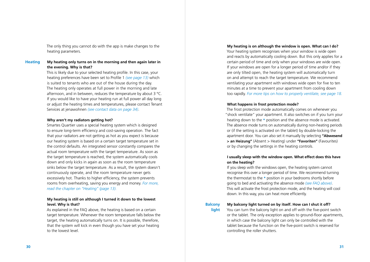The only thing you cannot do with the app is make changes to the heating parameters.

#### **My heating only turns on in the morning and then again later in the evening. Why is that? Heating**

This is likely due to your selected heating profile. In this case, your heating preferences have been set to Profile 1 *(see page 13)* which is suited to tenants who are out of the house during the day. The heating only operates at full power in the morning and late afternoon, and in between, reduces the temperature by about 3 °C. If you would like to have your heating run at full power all day long or adjust the heating times and temperatures, please contact Tenant Services at jenawohnen *(see contact data on page 34)*.

#### **Why aren't my radiators getting hot?**

Smartes Quartier uses a special heating system which is designed to ensure long-term efficiency and cost-saving operation. The fact that your radiators are not getting as hot as you expect is because our heating system is based on a certain target temperature set in the control defaults. An integrated sensor constantly compares the actual room temperature with the target temperature. As soon as the target temperature is reached, the system automatically cools down and only kicks in again as soon as the room temperature sinks below the target temperature. As a result, the system doesn't continuously operate, and the room temperature never gets excessively hot. Thanks to higher efficiency, the system prevents rooms from overheating, saving you energy and money. *For more, read the chapter on "Heating" (page 13).*

## **My heating is still on although I turned it down to the lowest level. Why is that?**

As explained in the FAQ above, the heating is based on a certain target temperature. Whenever the room temperature falls below the target, the heating automatically turns on. It is possible, therefore, that the system will kick in even though you have set your heating to the lowest level.

## **My heating is on although the window is open. What can I do?** Your heating system recognises when your window is wide open and reacts by automatically cooling down. But this only applies for a certain period of time and only when your windows are wide open. If your windows are open for a longer period of time and/or if they are only tilted open, the heating system will automatically turn on and attempt to reach the target temperature. We recommend ventilating your apartment with windows wide open for five to ten minutes at a time to prevent your apartment from cooling down too rapidly. *For more tips on how to properly ventilate, see page 18.*

### **What happens in frost protection mode?**

The frost protection mode automatically comes on whenever you "shock ventilate" your apartment. It also switches on if you turn your heating down to the **\*** position and the absence mode is activated. The absence mode turns on automatically during non-heating periods or (if the setting is activated on the tablet) by double-locking the apartment door. You can also set it manually by selecting **"Abwesend > an Heizung"** (Absent > Heating) under **"Favoriten"** (Favourites) or by changing the settings in the heating controls.

## **I usually sleep with the window open. What effect does this have on the heating?**

If you sleep with the windows open, the heating system cannot recognise this over a longer period of time. We recommend turning the thermostat to the **\*** position in your bedrooms shortly before going to bed and activating the absence mode *(see FAQ above)*. This will activate the frost protection mode, and the heating will cool down. In this way, you can heat more efficiently.

#### **Balcony light**

## **My balcony light turned on by itself. How can I shut it off?**

You can turn the balcony light on and off with the five-point switch or the tablet. The only exception applies to ground-floor apartments, in which case the balcony light can only be controlled with the tablet because the function on the five-point switch is reserved for controlling the roller shutters.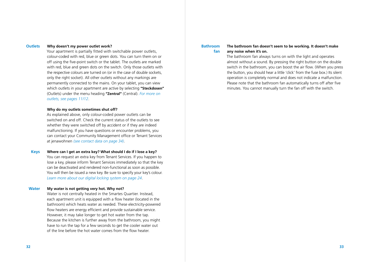#### **Why doesn't my power outlet work? Outlets**

Your apartment is partially fitted with switchable power outlets, colour-coded with red, blue or green dots. You can turn them on or off using the five-point switch or the tablet. The outlets are marked with red, blue and green dots on the switch. Only those outlets with the respective colours are turned on (or in the case of double sockets, only the right socket). All other outlets without any markings are permanently connected to the mains. On your tablet, you can view which outlets in your apartment are active by selecting **"Steckdosen"**  (Outlets) under the menu heading **"Zentral"** (Central). *For more on outlets, see pages 11/12*.

#### **Why do my outlets sometimes shut off?**

As explained above, only colour-coded power outlets can be switched on and off. Check the current status of the outlets to see whether they were switched off by accident or if they are indeed malfunctioning. If you have questions or encounter problems, you can contact your Community Management office or Tenant Services at jenawohnen *(see contact data on page 34)*.

#### **Where can I get an extra key? What should I do if I lose a key? Keys**

You can request an extra key from Tenant Services. If you happen to lose a key, please inform Tenant Services immediately so that the key can be deactivated and rendered non-functional as soon as possible. You will then be issued a new key. Be sure to specify your key's colour. *Learn more about our digital locking system on page 24*.

#### **My water is not getting very hot. Why not? Water**

Water is not centrally heated in the Smartes Quartier. Instead, each apartment unit is equipped with a flow heater (located in the bathroom) which heats water as needed. These electricity-powered flow heaters are energy efficient and provide sustainable service. However, it may take longer to get hot water from the tap. Because the kitchen is further away from the bathroom, you might have to run the tap for a few seconds to get the cooler water out of the line before the hot water comes from the flow heater.

#### **Bathroom fan**

## **The bathroom fan doesn't seem to be working. It doesn't make any noise when it's on.**

The bathroom fan always turns on with the light and operates almost without a sound. By pressing the right button on the double switch in the bathroom, you can boost the air flow. (When you press the button, you should hear a little 'click' from the fuse box.) Its silent operation is completely normal and does not indicate a malfunction. Please note that the bathroom fan automatically turns off after five minutes. You cannot manually turn the fan off with the switch.